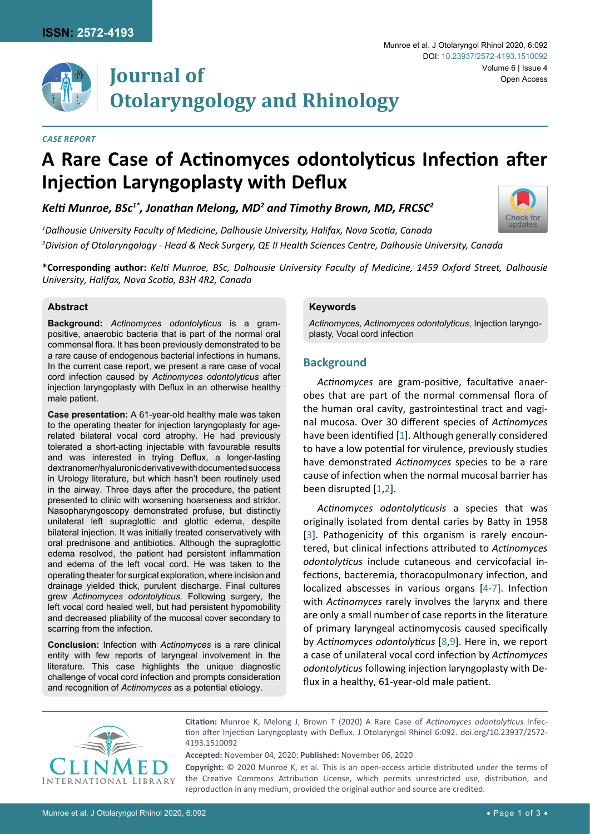

# **Journal of Otolaryngology and Rhinology**

#### *Case Report*

#### Munroe et al. J Otolaryngol Rhinol 2020, 6:092 Volume 6 | Issue 4 DOI: [10.23937/2572-4193.1510092](https://doi.org/10.23937/2572-4193.1510092) Open Access

[Check for](http://crossmark.crossref.org/dialog/?doi=10.23937/2572-4193.1510092&domain=pdf) updates



## *Kelti Munroe, BSc1\*, Jonathan Melong, MD<sup>2</sup> and Timothy Brown, MD, FRCSC<sup>2</sup>*

*1 Dalhousie University Faculty of Medicine, Dalhousie University, Halifax, Nova Scotia, Canada 2 Division of Otolaryngology - Head & Neck Surgery, QE II Health Sciences Centre, Dalhousie University, Canada*

**\*Corresponding author:** *Kelti Munroe, BSc, Dalhousie University Faculty of Medicine, 1459 Oxford Street, Dalhousie University, Halifax, Nova Scotia, B3H 4R2, Canada*

## **Abstract**

**Background:** *Actinomyces odontolyticus* is a grampositive, anaerobic bacteria that is part of the normal oral commensal flora. It has been previously demonstrated to be a rare cause of endogenous bacterial infections in humans. In the current case report, we present a rare case of vocal cord infection caused by *Actinomyces odontolyticus* after injection laryngoplasty with Deflux in an otherwise healthy male patient.

**Case presentation:** A 61-year-old healthy male was taken to the operating theater for injection laryngoplasty for agerelated bilateral vocal cord atrophy. He had previously tolerated a short-acting injectable with favourable results and was interested in trying Deflux, a longer-lasting dextranomer/hyaluronic derivative with documented success in Urology literature, but which hasn't been routinely used in the airway. Three days after the procedure, the patient presented to clinic with worsening hoarseness and stridor. Nasopharyngoscopy demonstrated profuse, but distinctly unilateral left supraglottic and glottic edema, despite bilateral injection. It was initially treated conservatively with oral prednisone and antibiotics. Although the supraglottic edema resolved, the patient had persistent inflammation and edema of the left vocal cord. He was taken to the operating theater for surgical exploration, where incision and drainage yielded thick, purulent discharge. Final cultures grew *Actinomyces odontolyticus.* Following surgery, the left vocal cord healed well, but had persistent hypomobility and decreased pliability of the mucosal cover secondary to scarring from the infection.

**Conclusion:** Infection with *Actinomyces* is a rare clinical entity with few reports of laryngeal involvement in the literature. This case highlights the unique diagnostic challenge of vocal cord infection and prompts consideration and recognition of *Actinomyces* as a potential etiology.

#### **Keywords**

*Actinomyces, Actinomyces odontolyticus*, Injection laryngoplasty, Vocal cord infection

## **Background**

*Actinomyces* are gram-positive, facultative anaerobes that are part of the normal commensal flora of the human oral cavity, gastrointestinal tract and vaginal mucosa. Over 30 different species of *Actinomyces* have been identified [[1\]](#page-2-0). Although generally considered to have a low potential for virulence, previously studies have demonstrated *Actinomyces* species to be a rare cause of infection when the normal mucosal barrier has been disrupted [[1](#page-2-0)[,2](#page-2-1)].

*Actinomyces odontolyticusis* a species that was originally isolated from dental caries by Batty in 1958 [[3](#page-2-2)]. Pathogenicity of this organism is rarely encountered, but clinical infections attributed to *Actinomyces odontolyticus* include cutaneous and cervicofacial infections, bacteremia, thoracopulmonary infection, and localized abscesses in various organs [[4](#page-2-3)-[7](#page-2-4)]. Infection with *Actinomyces* rarely involves the larynx and there are only a small number of case reports in the literature of primary laryngeal actinomycosis caused specifically by *Actinomyces odontolyticus* [[8](#page-2-5),[9\]](#page-2-6). Here in, we report a case of unilateral vocal cord infection by *Actinomyces odontolyticus* following injection laryngoplasty with Deflux in a healthy, 61-year-old male patient.



**Citation:** Munroe K, Melong J, Brown T (2020) A Rare Case of *Actinomyces odontolyticus* Infection after Injection Laryngoplasty with Deflux. J Otolaryngol Rhinol 6:092. [doi.org/10.23937/2572-](https://doi.org/10.23937/2572-4193.1510092) [4193.1510092](https://doi.org/10.23937/2572-4193.1510092)

**Accepted:** November 04, 2020: **Published:** November 06, 2020

**Copyright:** © 2020 Munroe K, et al. This is an open-access article distributed under the terms of the Creative Commons Attribution License, which permits unrestricted use, distribution, and reproduction in any medium, provided the original author and source are credited.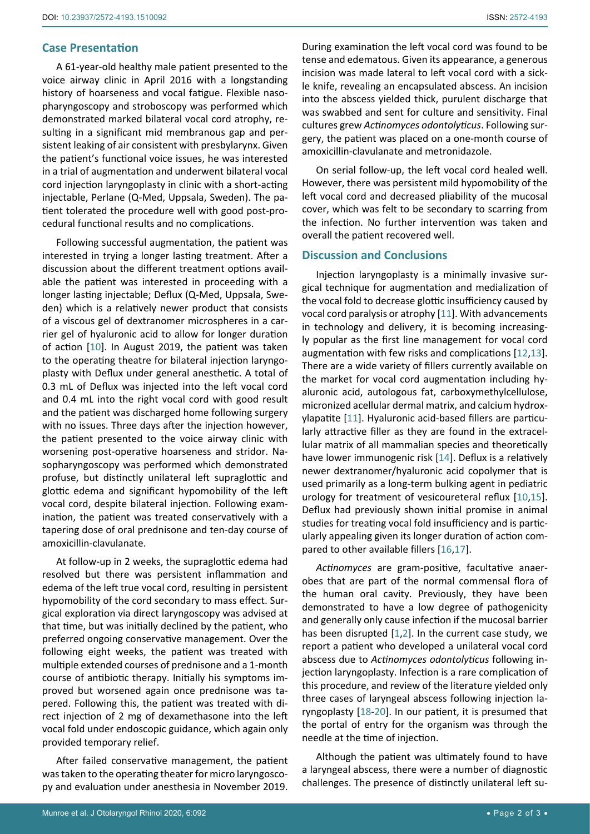## **Case Presentation**

A 61-year-old healthy male patient presented to the voice airway clinic in April 2016 with a longstanding history of hoarseness and vocal fatigue. Flexible nasopharyngoscopy and stroboscopy was performed which demonstrated marked bilateral vocal cord atrophy, resulting in a significant mid membranous gap and persistent leaking of air consistent with presbylarynx. Given the patient's functional voice issues, he was interested in a trial of augmentation and underwent bilateral vocal cord injection laryngoplasty in clinic with a short-acting injectable, Perlane (Q-Med, Uppsala, Sweden). The patient tolerated the procedure well with good post-procedural functional results and no complications.

Following successful augmentation, the patient was interested in trying a longer lasting treatment. After a discussion about the different treatment options available the patient was interested in proceeding with a longer lasting injectable; Deflux (Q-Med, Uppsala, Sweden) which is a relatively newer product that consists of a viscous gel of dextranomer microspheres in a carrier gel of hyaluronic acid to allow for longer duration of action [[10\]](#page-2-11). In August 2019, the patient was taken to the operating theatre for bilateral injection laryngoplasty with Deflux under general anesthetic. A total of 0.3 mL of Deflux was injected into the left vocal cord and 0.4 mL into the right vocal cord with good result and the patient was discharged home following surgery with no issues. Three days after the injection however, the patient presented to the voice airway clinic with worsening post-operative hoarseness and stridor. Nasopharyngoscopy was performed which demonstrated profuse, but distinctly unilateral left supraglottic and glottic edema and significant hypomobility of the left vocal cord, despite bilateral injection. Following examination, the patient was treated conservatively with a tapering dose of oral prednisone and ten-day course of amoxicillin-clavulanate.

At follow-up in 2 weeks, the supraglottic edema had resolved but there was persistent inflammation and edema of the left true vocal cord, resulting in persistent hypomobility of the cord secondary to mass effect. Surgical exploration via direct laryngoscopy was advised at that time, but was initially declined by the patient, who preferred ongoing conservative management. Over the following eight weeks, the patient was treated with multiple extended courses of prednisone and a 1-month course of antibiotic therapy. Initially his symptoms improved but worsened again once prednisone was tapered. Following this, the patient was treated with direct injection of 2 mg of dexamethasone into the left vocal fold under endoscopic guidance, which again only provided temporary relief.

After failed conservative management, the patient was taken to the operating theater for micro laryngoscopy and evaluation under anesthesia in November 2019. During examination the left vocal cord was found to be tense and edematous. Given its appearance, a generous incision was made lateral to left vocal cord with a sickle knife, revealing an encapsulated abscess. An incision into the abscess yielded thick, purulent discharge that was swabbed and sent for culture and sensitivity. Final cultures grew *Actinomyces odontolyticus*. Following surgery, the patient was placed on a one-month course of amoxicillin-clavulanate and metronidazole.

On serial follow-up, the left vocal cord healed well. However, there was persistent mild hypomobility of the left vocal cord and decreased pliability of the mucosal cover, which was felt to be secondary to scarring from the infection. No further intervention was taken and overall the patient recovered well.

## **Discussion and Conclusions**

Injection laryngoplasty is a minimally invasive surgical technique for augmentation and medialization of the vocal fold to decrease glottic insufficiency caused by vocal cord paralysis or atrophy [[11\]](#page-2-7). With advancements in technology and delivery, it is becoming increasingly popular as the first line management for vocal cord augmentation with few risks and complications [[12](#page-2-8),[13\]](#page-2-9). There are a wide variety of fillers currently available on the market for vocal cord augmentation including hyaluronic acid, autologous fat, carboxymethylcellulose, micronized acellular dermal matrix, and calcium hydroxylapatite [\[11](#page-2-7)]. Hyaluronic acid-based fillers are particularly attractive filler as they are found in the extracellular matrix of all mammalian species and theoretically have lower immunogenic risk [[14\]](#page-2-10). Deflux is a relatively newer dextranomer/hyaluronic acid copolymer that is used primarily as a long-term bulking agent in pediatric urology for treatment of vesicoureteral reflux [[10](#page-2-11),[15\]](#page-2-12). Deflux had previously shown initial promise in animal studies for treating vocal fold insufficiency and is particularly appealing given its longer duration of action compared to other available fillers [[16](#page-2-13),[17\]](#page-2-14).

*Actinomyces* are gram-positive, facultative anaerobes that are part of the normal commensal flora of the human oral cavity. Previously, they have been demonstrated to have a low degree of pathogenicity and generally only cause infection if the mucosal barrier has been disrupted [[1](#page-2-0)[,2](#page-2-1)]. In the current case study, we report a patient who developed a unilateral vocal cord abscess due to *Actinomyces odontolyticus* following injection laryngoplasty. Infection is a rare complication of this procedure, and review of the literature yielded only three cases of laryngeal abscess following injection laryngoplasty [\[18](#page-2-15)-[20](#page-2-16)]. In our patient, it is presumed that the portal of entry for the organism was through the needle at the time of injection.

Although the patient was ultimately found to have a laryngeal abscess, there were a number of diagnostic challenges. The presence of distinctly unilateral left su